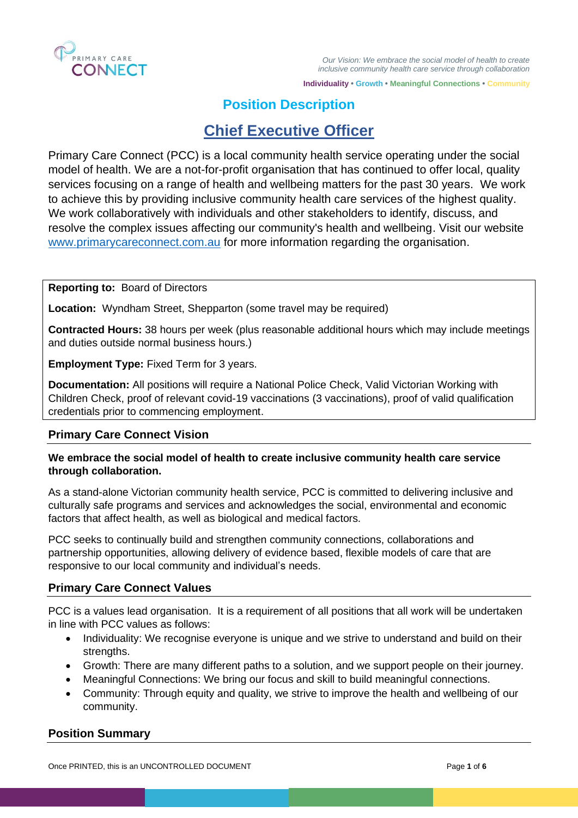

# **Position Description**

# **Chief Executive Officer**

Primary Care Connect (PCC) is a local community health service operating under the social model of health. We are a not-for-profit organisation that has continued to offer local, quality services focusing on a range of health and wellbeing matters for the past 30 years. We work to achieve this by providing inclusive community health care services of the highest quality. We work collaboratively with individuals and other stakeholders to identify, discuss, and resolve the complex issues affecting our community's health and wellbeing. Visit our website [www.primarycareconnect.com.au](http://www.primarycareconnect.com.au/) for more information regarding the organisation.

# **Reporting to:** Board of Directors

**Location:** Wyndham Street, Shepparton (some travel may be required)

**Contracted Hours:** 38 hours per week (plus reasonable additional hours which may include meetings and duties outside normal business hours.)

**Employment Type:** Fixed Term for 3 years.

**Documentation:** All positions will require a National Police Check, Valid Victorian Working with Children Check, proof of relevant covid-19 vaccinations (3 vaccinations), proof of valid qualification credentials prior to commencing employment.

# **Primary Care Connect Vision**

# **We embrace the social model of health to create inclusive community health care service through collaboration.**

As a stand-alone Victorian community health service, PCC is committed to delivering inclusive and culturally safe programs and services and acknowledges the social, environmental and economic factors that affect health, as well as biological and medical factors.

PCC seeks to continually build and strengthen community connections, collaborations and partnership opportunities, allowing delivery of evidence based, flexible models of care that are responsive to our local community and individual's needs.

# **Primary Care Connect Values**

PCC is a values lead organisation. It is a requirement of all positions that all work will be undertaken in line with PCC values as follows:

- Individuality: We recognise everyone is unique and we strive to understand and build on their strengths.
- Growth: There are many different paths to a solution, and we support people on their journey.
- Meaningful Connections: We bring our focus and skill to build meaningful connections.
- Community: Through equity and quality, we strive to improve the health and wellbeing of our community.

# **Position Summary**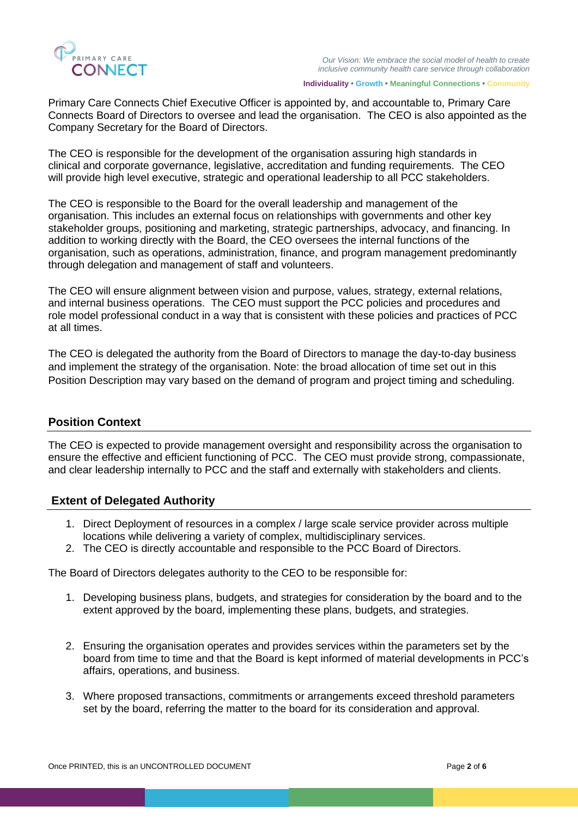

Primary Care Connects Chief Executive Officer is appointed by, and accountable to, Primary Care Connects Board of Directors to oversee and lead the organisation. The CEO is also appointed as the Company Secretary for the Board of Directors.

The CEO is responsible for the development of the organisation assuring high standards in clinical and corporate governance, legislative, accreditation and funding requirements. The CEO will provide high level executive, strategic and operational leadership to all PCC stakeholders.

The CEO is responsible to the Board for the overall leadership and management of the organisation. This includes an external focus on relationships with governments and other key stakeholder groups, positioning and marketing, strategic partnerships, advocacy, and financing. In addition to working directly with the Board, the CEO oversees the internal functions of the organisation, such as operations, administration, finance, and program management predominantly through delegation and management of staff and volunteers.

The CEO will ensure alignment between vision and purpose, values, strategy, external relations, and internal business operations. The CEO must support the PCC policies and procedures and role model professional conduct in a way that is consistent with these policies and practices of PCC at all times.

The CEO is delegated the authority from the Board of Directors to manage the day-to-day business and implement the strategy of the organisation. Note: the broad allocation of time set out in this Position Description may vary based on the demand of program and project timing and scheduling.

# **Position Context**

The CEO is expected to provide management oversight and responsibility across the organisation to ensure the effective and efficient functioning of PCC. The CEO must provide strong, compassionate, and clear leadership internally to PCC and the staff and externally with stakeholders and clients.

# **Extent of Delegated Authority**

- 1. Direct Deployment of resources in a complex / large scale service provider across multiple locations while delivering a variety of complex, multidisciplinary services.
- 2. The CEO is directly accountable and responsible to the PCC Board of Directors.

The Board of Directors delegates authority to the CEO to be responsible for:

- 1. Developing business plans, budgets, and strategies for consideration by the board and to the extent approved by the board, implementing these plans, budgets, and strategies.
- 2. Ensuring the organisation operates and provides services within the parameters set by the board from time to time and that the Board is kept informed of material developments in PCC's affairs, operations, and business.
- 3. Where proposed transactions, commitments or arrangements exceed threshold parameters set by the board, referring the matter to the board for its consideration and approval.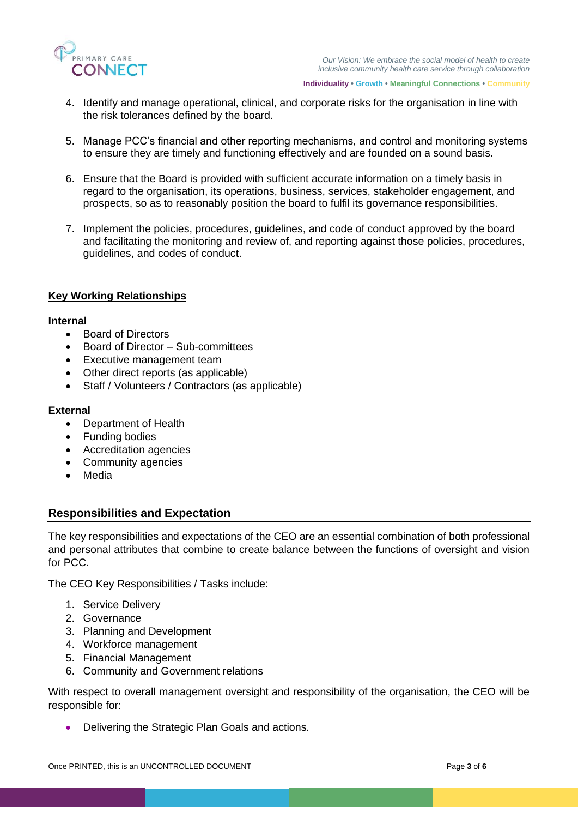

- 4. Identify and manage operational, clinical, and corporate risks for the organisation in line with the risk tolerances defined by the board.
- 5. Manage PCC's financial and other reporting mechanisms, and control and monitoring systems to ensure they are timely and functioning effectively and are founded on a sound basis.
- 6. Ensure that the Board is provided with sufficient accurate information on a timely basis in regard to the organisation, its operations, business, services, stakeholder engagement, and prospects, so as to reasonably position the board to fulfil its governance responsibilities.
- 7. Implement the policies, procedures, guidelines, and code of conduct approved by the board and facilitating the monitoring and review of, and reporting against those policies, procedures, guidelines, and codes of conduct.

# **Key Working Relationships**

#### **Internal**

- Board of Directors
- Board of Director Sub-committees
- Executive management team
- Other direct reports (as applicable)
- Staff / Volunteers / Contractors (as applicable)

#### **External**

- Department of Health
- **Funding bodies**
- Accreditation agencies
- Community agencies
- Media

# **Responsibilities and Expectation**

The key responsibilities and expectations of the CEO are an essential combination of both professional and personal attributes that combine to create balance between the functions of oversight and vision for PCC.

The CEO Key Responsibilities / Tasks include:

- 1. Service Delivery
- 2. Governance
- 3. Planning and Development
- 4. Workforce management
- 5. Financial Management
- 6. Community and Government relations

With respect to overall management oversight and responsibility of the organisation, the CEO will be responsible for:

• Delivering the Strategic Plan Goals and actions.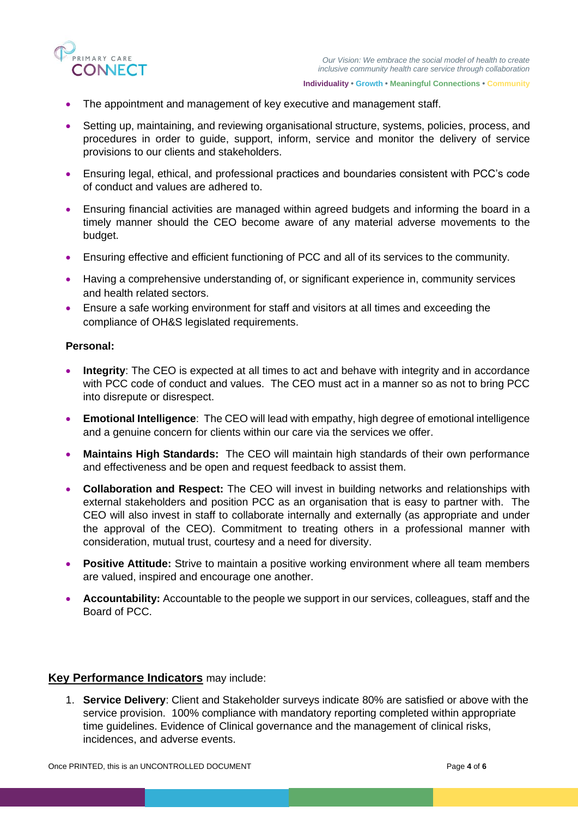

- The appointment and management of key executive and management staff.
- Setting up, maintaining, and reviewing organisational structure, systems, policies, process, and procedures in order to guide, support, inform, service and monitor the delivery of service provisions to our clients and stakeholders.
- Ensuring legal, ethical, and professional practices and boundaries consistent with PCC's code of conduct and values are adhered to.
- Ensuring financial activities are managed within agreed budgets and informing the board in a timely manner should the CEO become aware of any material adverse movements to the budget.
- Ensuring effective and efficient functioning of PCC and all of its services to the community.
- Having a comprehensive understanding of, or significant experience in, community services and health related sectors.
- Ensure a safe working environment for staff and visitors at all times and exceeding the compliance of OH&S legislated requirements.

#### **Personal:**

- **Integrity**: The CEO is expected at all times to act and behave with integrity and in accordance with PCC code of conduct and values. The CEO must act in a manner so as not to bring PCC into disrepute or disrespect.
- **Emotional Intelligence**: The CEO will lead with empathy, high degree of emotional intelligence and a genuine concern for clients within our care via the services we offer.
- **Maintains High Standards:** The CEO will maintain high standards of their own performance and effectiveness and be open and request feedback to assist them.
- **Collaboration and Respect:** The CEO will invest in building networks and relationships with external stakeholders and position PCC as an organisation that is easy to partner with. The CEO will also invest in staff to collaborate internally and externally (as appropriate and under the approval of the CEO). Commitment to treating others in a professional manner with consideration, mutual trust, courtesy and a need for diversity.
- **Positive Attitude:** Strive to maintain a positive working environment where all team members are valued, inspired and encourage one another.
- **Accountability:** Accountable to the people we support in our services, colleagues, staff and the Board of PCC.

# **Key Performance Indicators** may include:

1. **Service Delivery**: Client and Stakeholder surveys indicate 80% are satisfied or above with the service provision. 100% compliance with mandatory reporting completed within appropriate time guidelines. Evidence of Clinical governance and the management of clinical risks, incidences, and adverse events.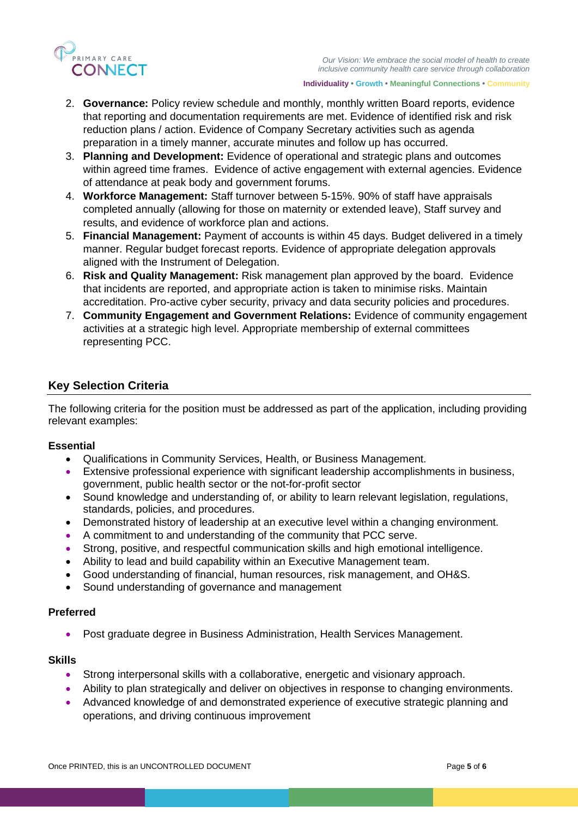

- 2. **Governance:** Policy review schedule and monthly, monthly written Board reports, evidence that reporting and documentation requirements are met. Evidence of identified risk and risk reduction plans / action. Evidence of Company Secretary activities such as agenda preparation in a timely manner, accurate minutes and follow up has occurred.
- 3. **Planning and Development:** Evidence of operational and strategic plans and outcomes within agreed time frames. Evidence of active engagement with external agencies. Evidence of attendance at peak body and government forums.
- 4. **Workforce Management:** Staff turnover between 5-15%. 90% of staff have appraisals completed annually (allowing for those on maternity or extended leave), Staff survey and results, and evidence of workforce plan and actions.
- 5. **Financial Management:** Payment of accounts is within 45 days. Budget delivered in a timely manner. Regular budget forecast reports. Evidence of appropriate delegation approvals aligned with the Instrument of Delegation.
- 6. **Risk and Quality Management:** Risk management plan approved by the board. Evidence that incidents are reported, and appropriate action is taken to minimise risks. Maintain accreditation. Pro-active cyber security, privacy and data security policies and procedures.
- 7. **Community Engagement and Government Relations:** Evidence of community engagement activities at a strategic high level. Appropriate membership of external committees representing PCC.

# **Key Selection Criteria**

The following criteria for the position must be addressed as part of the application, including providing relevant examples:

#### **Essential**

- Qualifications in Community Services, Health, or Business Management.
- Extensive professional experience with significant leadership accomplishments in business, government, public health sector or the not-for-profit sector
- Sound knowledge and understanding of, or ability to learn relevant legislation, regulations, standards, policies, and procedures.
- Demonstrated history of leadership at an executive level within a changing environment.
- A commitment to and understanding of the community that PCC serve.
- Strong, positive, and respectful communication skills and high emotional intelligence.
- Ability to lead and build capability within an Executive Management team.
- Good understanding of financial, human resources, risk management, and OH&S.
- Sound understanding of governance and management

#### **Preferred**

• Post graduate degree in Business Administration, Health Services Management.

#### **Skills**

- Strong interpersonal skills with a collaborative, energetic and visionary approach.
- Ability to plan strategically and deliver on objectives in response to changing environments.
- Advanced knowledge of and demonstrated experience of executive strategic planning and operations, and driving continuous improvement